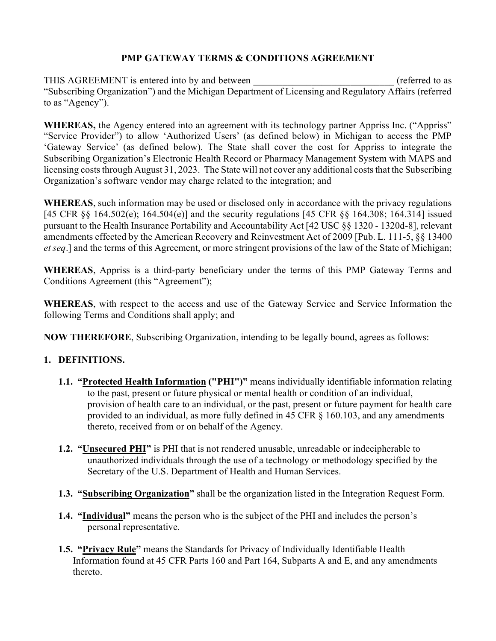# **PMP GATEWAY TERMS & CONDITIONS AGREEMENT**

THIS AGREEMENT is entered into by and between  $(referred to as$ "Subscribing Organization") and the Michigan Department of Licensing and Regulatory Affairs (referred to as "Agency").

WHEREAS, the Agency entered into an agreement with its technology partner Appriss Inc. ("Appriss" "Service Provider") to allow 'Authorized Users' (as defined below) in Michigan to access the PMP 'Gateway Service' (as defined below). The State shall cover the cost for Appriss to integrate the Subscribing Organization's Electronic Health Record or Pharmacy Management System with MAPS and licensing costs through August 31, 2023. The State will not cover any additional costs that the Subscribing Organization's software vendor may charge related to the integration; and

**WHEREAS**, such information may be used or disclosed only in accordance with the privacy regulations [45 CFR §§ 164.502(e); 164.504(e)] and the security regulations [45 CFR §§ 164.308; 164.314] issued pursuant to the Health Insurance Portability and Accountability Act [42 USC §§ 1320 - 1320d-8], relevant amendments effected by the American Recovery and Reinvestment Act of 2009 [Pub. L. 111-5, §§ 13400 *et seq*.] and the terms of this Agreement, or more stringent provisions of the law of the State of Michigan;

**WHEREAS**, Appriss is a third-party beneficiary under the terms of this PMP Gateway Terms and Conditions Agreement (this "Agreement");

**WHEREAS**, with respect to the access and use of the Gateway Service and Service Information the following Terms and Conditions shall apply; and

**NOW THEREFORE**, Subscribing Organization, intending to be legally bound, agrees as follows:

## **1. DEFINITIONS.**

- **1.1. "Protected Health Information ("PHI")"** means individually identifiable information relating to the past, present or future physical or mental health or condition of an individual, provision of health care to an individual, or the past, present or future payment for health care provided to an individual, as more fully defined in 45 CFR § 160.103, and any amendments thereto, received from or on behalf of the Agency.
- **1.2. "Unsecured PHI"** is PHI that is not rendered unusable, unreadable or indecipherable to unauthorized individuals through the use of a technology or methodology specified by the Secretary of the U.S. Department of Health and Human Services.
- **1.3. "Subscribing Organization"** shall be the organization listed in the Integration Request Form.
- **1.4. "Individual"** means the person who is the subject of the PHI and includes the person's personal representative.
- **1.5. "Privacy Rule"** means the Standards for Privacy of Individually Identifiable Health Information found at 45 CFR Parts 160 and Part 164, Subparts A and E, and any amendments thereto.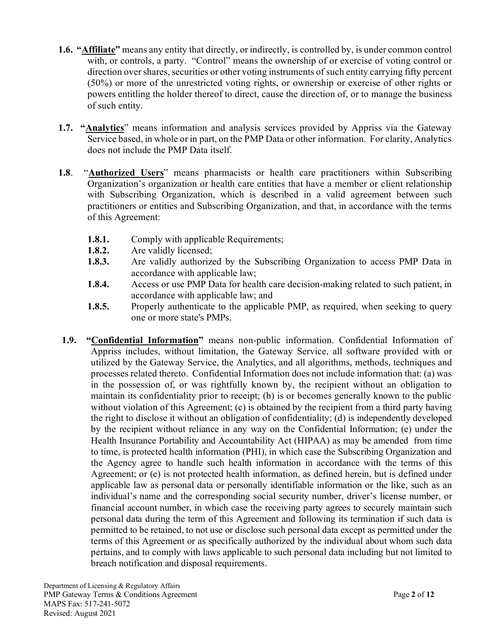- **1.6. "Affiliate"** means any entity that directly, or indirectly, is controlled by, is under common control with, or controls, a party. "Control" means the ownership of or exercise of voting control or direction over shares, securities or other voting instruments of such entity carrying fifty percent (50%) or more of the unrestricted voting rights, or ownership or exercise of other rights or powers entitling the holder thereof to direct, cause the direction of, or to manage the business of such entity.
- **1.7. "Analytics**" means information and analysis services provided by Appriss via the Gateway Service based, in whole or in part, on the PMP Data or other information. For clarity, Analytics does not include the PMP Data itself.
- **1.8**. "**Authorized Users**" means pharmacists or health care practitioners within Subscribing Organization's organization or health care entities that have a member or client relationship with Subscribing Organization, which is described in a valid agreement between such practitioners or entities and Subscribing Organization, and that, in accordance with the terms of this Agreement:
	- **1.8.1.** Comply with applicable Requirements;
	- **1.8.2.** Are validly licensed;
	- **1.8.3.** Are validly authorized by the Subscribing Organization to access PMP Data in accordance with applicable law;
	- **1.8.4.** Access or use PMP Data for health care decision-making related to such patient, in accordance with applicable law; and
	- **1.8.5.** Properly authenticate to the applicable PMP, as required, when seeking to query one or more state's PMPs.
- **1.9. "Confidential Information"** means non-public information. Confidential Information of Appriss includes, without limitation, the Gateway Service, all software provided with or utilized by the Gateway Service, the Analytics, and all algorithms, methods, techniques and processes related thereto. Confidential Information does not include information that: (a) was in the possession of, or was rightfully known by, the recipient without an obligation to maintain its confidentiality prior to receipt; (b) is or becomes generally known to the public without violation of this Agreement; (c) is obtained by the recipient from a third party having the right to disclose it without an obligation of confidentiality; (d) is independently developed by the recipient without reliance in any way on the Confidential Information; (e) under the Health Insurance Portability and Accountability Act (HIPAA) as may be amended from time to time, is protected health information (PHI), in which case the Subscribing Organization and the Agency agree to handle such health information in accordance with the terms of this Agreement; or (e) is not protected health information, as defined herein, but is defined under applicable law as personal data or personally identifiable information or the like, such as an individual's name and the corresponding social security number, driver's license number, or financial account number, in which case the receiving party agrees to securely maintain such personal data during the term of this Agreement and following its termination if such data is permitted to be retained, to not use or disclose such personal data except as permitted under the terms of this Agreement or as specifically authorized by the individual about whom such data pertains, and to comply with laws applicable to such personal data including but not limited to breach notification and disposal requirements.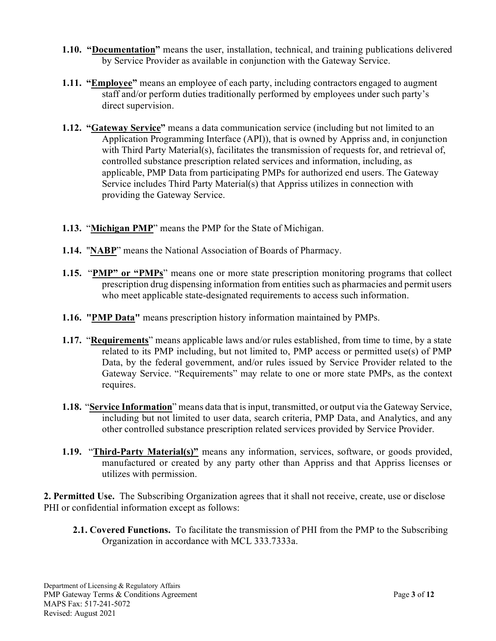- **1.10. "Documentation"** means the user, installation, technical, and training publications delivered by Service Provider as available in conjunction with the Gateway Service.
- **1.11. "Employee"** means an employee of each party, including contractors engaged to augment staff and/or perform duties traditionally performed by employees under such party's direct supervision.
- **1.12. "Gateway Service"** means a data communication service (including but not limited to an Application Programming Interface (API)), that is owned by Appriss and, in conjunction with Third Party Material(s), facilitates the transmission of requests for, and retrieval of, controlled substance prescription related services and information, including, as applicable, PMP Data from participating PMPs for authorized end users. The Gateway Service includes Third Party Material(s) that Appriss utilizes in connection with providing the Gateway Service.
- **1.13.** "**Michigan PMP**" means the PMP for the State of Michigan.
- **1.14.** "**NABP**" means the National Association of Boards of Pharmacy.
- **1.15.** "**PMP" or "PMPs**" means one or more state prescription monitoring programs that collect prescription drug dispensing information from entities such as pharmacies and permit users who meet applicable state-designated requirements to access such information.
- **1.16. "PMP Data"** means prescription history information maintained by PMPs.
- **1.17.** "**Requirements**" means applicable laws and/or rules established, from time to time, by a state related to its PMP including, but not limited to, PMP access or permitted use(s) of PMP Data, by the federal government, and/or rules issued by Service Provider related to the Gateway Service. "Requirements" may relate to one or more state PMPs, as the context requires.
- **1.18.** "**Service Information**" means data that is input, transmitted, or output via the Gateway Service, including but not limited to user data, search criteria, PMP Data, and Analytics, and any other controlled substance prescription related services provided by Service Provider.
- **1.19.** "**Third-Party Material(s)"** means any information, services, software, or goods provided, manufactured or created by any party other than Appriss and that Appriss licenses or utilizes with permission.

**2. Permitted Use.** The Subscribing Organization agrees that it shall not receive, create, use or disclose PHI or confidential information except as follows:

**2.1. Covered Functions.** To facilitate the transmission of PHI from the PMP to the Subscribing Organization in accordance with MCL 333.7333a.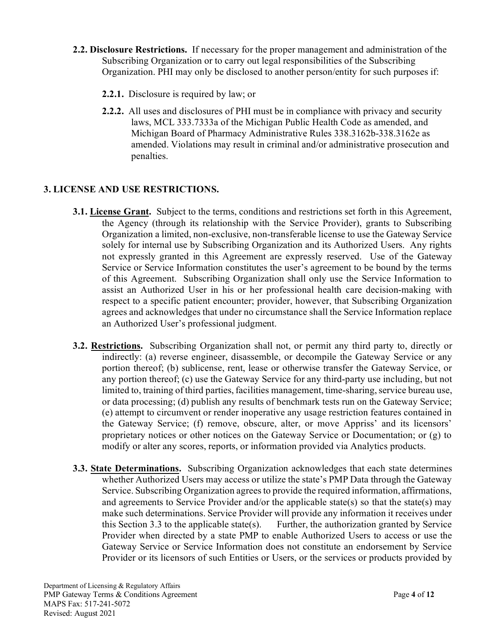- **2.2. Disclosure Restrictions.** If necessary for the proper management and administration of the Subscribing Organization or to carry out legal responsibilities of the Subscribing Organization. PHI may only be disclosed to another person/entity for such purposes if:
	- **2.2.1.** Disclosure is required by law; or
	- **2.2.2.** All uses and disclosures of PHI must be in compliance with privacy and security laws, MCL 333.7333a of the Michigan Public Health Code as amended, and Michigan Board of Pharmacy Administrative Rules 338.3162b-338.3162e as amended. Violations may result in criminal and/or administrative prosecution and penalties.

## **3. LICENSE AND USE RESTRICTIONS.**

- **3.1. License Grant.** Subject to the terms, conditions and restrictions set forth in this Agreement, the Agency (through its relationship with the Service Provider), grants to Subscribing Organization a limited, non-exclusive, non-transferable license to use the Gateway Service solely for internal use by Subscribing Organization and its Authorized Users. Any rights not expressly granted in this Agreement are expressly reserved. Use of the Gateway Service or Service Information constitutes the user's agreement to be bound by the terms of this Agreement. Subscribing Organization shall only use the Service Information to assist an Authorized User in his or her professional health care decision-making with respect to a specific patient encounter; provider, however, that Subscribing Organization agrees and acknowledges that under no circumstance shall the Service Information replace an Authorized User's professional judgment.
- **3.2. Restrictions.** Subscribing Organization shall not, or permit any third party to, directly or indirectly: (a) reverse engineer, disassemble, or decompile the Gateway Service or any portion thereof; (b) sublicense, rent, lease or otherwise transfer the Gateway Service, or any portion thereof; (c) use the Gateway Service for any third-party use including, but not limited to, training of third parties, facilities management, time-sharing, service bureau use, or data processing; (d) publish any results of benchmark tests run on the Gateway Service; (e) attempt to circumvent or render inoperative any usage restriction features contained in the Gateway Service; (f) remove, obscure, alter, or move Appriss' and its licensors' proprietary notices or other notices on the Gateway Service or Documentation; or (g) to modify or alter any scores, reports, or information provided via Analytics products.
- **3.3. State Determinations.** Subscribing Organization acknowledges that each state determines whether Authorized Users may access or utilize the state's PMP Data through the Gateway Service. Subscribing Organization agrees to provide the required information, affirmations, and agreements to Service Provider and/or the applicable state(s) so that the state(s) may make such determinations. Service Provider will provide any information it receives under this Section 3.3 to the applicable state(s). Further, the authorization granted by Service Provider when directed by a state PMP to enable Authorized Users to access or use the Gateway Service or Service Information does not constitute an endorsement by Service Provider or its licensors of such Entities or Users, or the services or products provided by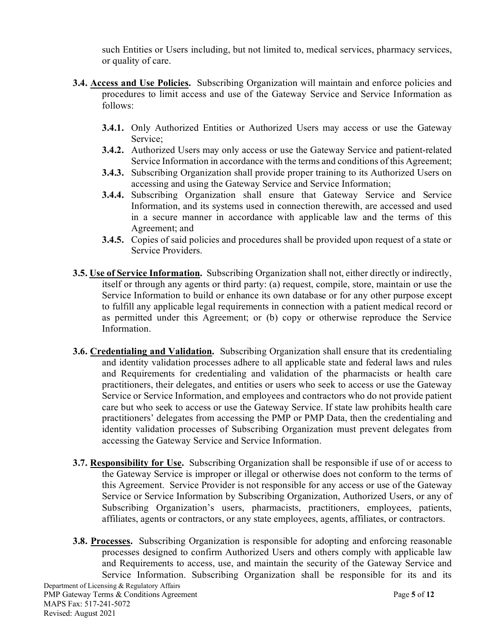such Entities or Users including, but not limited to, medical services, pharmacy services, or quality of care.

- **3.4. Access and Use Policies.** Subscribing Organization will maintain and enforce policies and procedures to limit access and use of the Gateway Service and Service Information as follows:
	- **3.4.1.** Only Authorized Entities or Authorized Users may access or use the Gateway Service;
	- **3.4.2.** Authorized Users may only access or use the Gateway Service and patient-related Service Information in accordance with the terms and conditions of this Agreement;
	- **3.4.3.** Subscribing Organization shall provide proper training to its Authorized Users on accessing and using the Gateway Service and Service Information;
	- **3.4.4.** Subscribing Organization shall ensure that Gateway Service and Service Information, and its systems used in connection therewith, are accessed and used in a secure manner in accordance with applicable law and the terms of this Agreement; and
	- **3.4.5.** Copies of said policies and procedures shall be provided upon request of a state or Service Providers.
- **3.5. Use of Service Information.** Subscribing Organization shall not, either directly or indirectly, itself or through any agents or third party: (a) request, compile, store, maintain or use the Service Information to build or enhance its own database or for any other purpose except to fulfill any applicable legal requirements in connection with a patient medical record or as permitted under this Agreement; or (b) copy or otherwise reproduce the Service Information.
- **3.6. Credentialing and Validation.** Subscribing Organization shall ensure that its credentialing and identity validation processes adhere to all applicable state and federal laws and rules and Requirements for credentialing and validation of the pharmacists or health care practitioners, their delegates, and entities or users who seek to access or use the Gateway Service or Service Information, and employees and contractors who do not provide patient care but who seek to access or use the Gateway Service. If state law prohibits health care practitioners' delegates from accessing the PMP or PMP Data, then the credentialing and identity validation processes of Subscribing Organization must prevent delegates from accessing the Gateway Service and Service Information.
- **3.7. Responsibility for Use.** Subscribing Organization shall be responsible if use of or access to the Gateway Service is improper or illegal or otherwise does not conform to the terms of this Agreement. Service Provider is not responsible for any access or use of the Gateway Service or Service Information by Subscribing Organization, Authorized Users, or any of Subscribing Organization's users, pharmacists, practitioners, employees, patients, affiliates, agents or contractors, or any state employees, agents, affiliates, or contractors.
- **3.8. Processes.** Subscribing Organization is responsible for adopting and enforcing reasonable processes designed to confirm Authorized Users and others comply with applicable law and Requirements to access, use, and maintain the security of the Gateway Service and Service Information. Subscribing Organization shall be responsible for its and its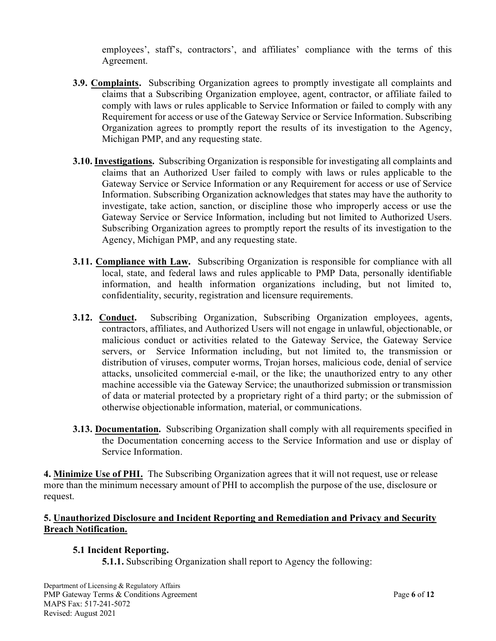employees', staff's, contractors', and affiliates' compliance with the terms of this Agreement.

- **3.9. Complaints.** Subscribing Organization agrees to promptly investigate all complaints and claims that a Subscribing Organization employee, agent, contractor, or affiliate failed to comply with laws or rules applicable to Service Information or failed to comply with any Requirement for access or use of the Gateway Service or Service Information. Subscribing Organization agrees to promptly report the results of its investigation to the Agency, Michigan PMP, and any requesting state.
- **3.10. Investigations.** Subscribing Organization is responsible for investigating all complaints and claims that an Authorized User failed to comply with laws or rules applicable to the Gateway Service or Service Information or any Requirement for access or use of Service Information. Subscribing Organization acknowledges that states may have the authority to investigate, take action, sanction, or discipline those who improperly access or use the Gateway Service or Service Information, including but not limited to Authorized Users. Subscribing Organization agrees to promptly report the results of its investigation to the Agency, Michigan PMP, and any requesting state.
- **3.11. Compliance with Law.** Subscribing Organization is responsible for compliance with all local, state, and federal laws and rules applicable to PMP Data, personally identifiable information, and health information organizations including, but not limited to, confidentiality, security, registration and licensure requirements.
- **3.12. Conduct.** Subscribing Organization, Subscribing Organization employees, agents, contractors, affiliates, and Authorized Users will not engage in unlawful, objectionable, or malicious conduct or activities related to the Gateway Service, the Gateway Service servers, or Service Information including, but not limited to, the transmission or distribution of viruses, computer worms, Trojan horses, malicious code, denial of service attacks, unsolicited commercial e-mail, or the like; the unauthorized entry to any other machine accessible via the Gateway Service; the unauthorized submission or transmission of data or material protected by a proprietary right of a third party; or the submission of otherwise objectionable information, material, or communications.
- **3.13. Documentation.** Subscribing Organization shall comply with all requirements specified in the Documentation concerning access to the Service Information and use or display of Service Information.

**4. Minimize Use of PHI.** The Subscribing Organization agrees that it will not request, use or release more than the minimum necessary amount of PHI to accomplish the purpose of the use, disclosure or request.

## **5. Unauthorized Disclosure and Incident Reporting and Remediation and Privacy and Security Breach Notification.**

## **5.1 Incident Reporting.**

**5.1.1.** Subscribing Organization shall report to Agency the following: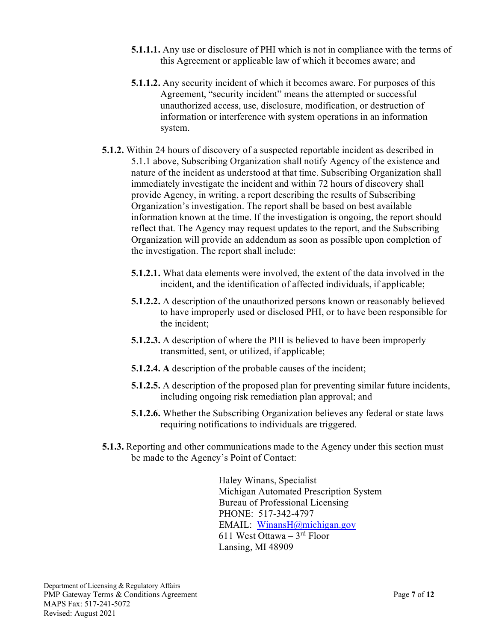- **5.1.1.1.** Any use or disclosure of PHI which is not in compliance with the terms of this Agreement or applicable law of which it becomes aware; and
- **5.1.1.2.** Any security incident of which it becomes aware. For purposes of this Agreement, "security incident" means the attempted or successful unauthorized access, use, disclosure, modification, or destruction of information or interference with system operations in an information system.
- **5.1.2.** Within 24 hours of discovery of a suspected reportable incident as described in 5.1.1 above, Subscribing Organization shall notify Agency of the existence and nature of the incident as understood at that time. Subscribing Organization shall immediately investigate the incident and within 72 hours of discovery shall provide Agency, in writing, a report describing the results of Subscribing Organization's investigation. The report shall be based on best available information known at the time. If the investigation is ongoing, the report should reflect that. The Agency may request updates to the report, and the Subscribing Organization will provide an addendum as soon as possible upon completion of the investigation. The report shall include:
	- **5.1.2.1.** What data elements were involved, the extent of the data involved in the incident, and the identification of affected individuals, if applicable;
	- **5.1.2.2.** A description of the unauthorized persons known or reasonably believed to have improperly used or disclosed PHI, or to have been responsible for the incident;
	- **5.1.2.3.** A description of where the PHI is believed to have been improperly transmitted, sent, or utilized, if applicable;
	- **5.1.2.4. A** description of the probable causes of the incident;
	- **5.1.2.5.** A description of the proposed plan for preventing similar future incidents, including ongoing risk remediation plan approval; and
	- **5.1.2.6.** Whether the Subscribing Organization believes any federal or state laws requiring notifications to individuals are triggered.
- **5.1.3.** Reporting and other communications made to the Agency under this section must be made to the Agency's Point of Contact:

Haley Winans, Specialist Michigan Automated Prescription System Bureau of Professional Licensing PHONE: 517-342-4797 EMAIL: [WinansH@michigan.gov](mailto:WinansH@michigan.gov) 611 West Ottawa – 3rd Floor Lansing, MI 48909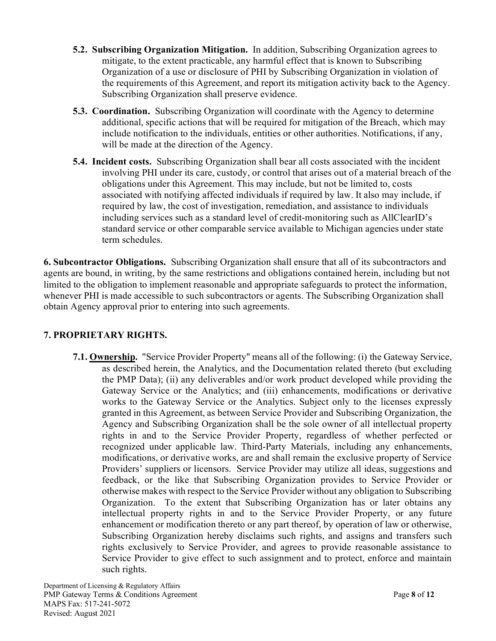- **5.2. Subscribing Organization Mitigation.** In addition, Subscribing Organization agrees to mitigate, to the extent practicable, any harmful effect that is known to Subscribing Organization of a use or disclosure of PHI by Subscribing Organization in violation of the requirements of this Agreement, and report its mitigation activity back to the Agency. Subscribing Organization shall preserve evidence.
- **5.3. Coordination.** Subscribing Organization will coordinate with the Agency to determine additional, specific actions that will be required for mitigation of the Breach, which may include notification to the individuals, entities or other authorities. Notifications, if any, will be made at the direction of the Agency.
- **5.4. Incident costs.** Subscribing Organization shall bear all costs associated with the incident involving PHI under its care, custody, or control that arises out of a material breach of the obligations under this Agreement. This may include, but not be limited to, costs associated with notifying affected individuals if required by law. It also may include, if required by law, the cost of investigation, remediation, and assistance to individuals including services such as a standard level of credit-monitoring such as AllClearID's standard service or other comparable service available to Michigan agencies under state term schedules.

**6. Subcontractor Obligations.** Subscribing Organization shall ensure that all of its subcontractors and agents are bound, in writing, by the same restrictions and obligations contained herein, including but not limited to the obligation to implement reasonable and appropriate safeguards to protect the information, whenever PHI is made accessible to such subcontractors or agents. The Subscribing Organization shall obtain Agency approval prior to entering into such agreements.

## **7. PROPRIETARY RIGHTS.**

**7.1. Ownership.** "Service Provider Property" means all of the following: (i) the Gateway Service, as described herein, the Analytics, and the Documentation related thereto (but excluding the PMP Data); (ii) any deliverables and/or work product developed while providing the Gateway Service or the Analytics; and (iii) enhancements, modifications or derivative works to the Gateway Service or the Analytics. Subject only to the licenses expressly granted in this Agreement, as between Service Provider and Subscribing Organization, the Agency and Subscribing Organization shall be the sole owner of all intellectual property rights in and to the Service Provider Property, regardless of whether perfected or recognized under applicable law. Third-Party Materials, including any enhancements, modifications, or derivative works, are and shall remain the exclusive property of Service Providers' suppliers or licensors. Service Provider may utilize all ideas, suggestions and feedback, or the like that Subscribing Organization provides to Service Provider or otherwise makes with respect to the Service Provider without any obligation to Subscribing Organization. To the extent that Subscribing Organization has or later obtains any intellectual property rights in and to the Service Provider Property, or any future enhancement or modification thereto or any part thereof, by operation of law or otherwise, Subscribing Organization hereby disclaims such rights, and assigns and transfers such rights exclusively to Service Provider, and agrees to provide reasonable assistance to Service Provider to give effect to such assignment and to protect, enforce and maintain such rights.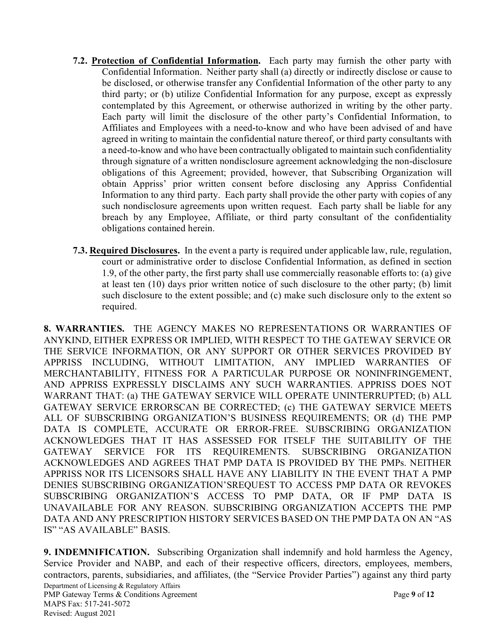- **7.2. Protection of Confidential Information.** Each party may furnish the other party with Confidential Information. Neither party shall (a) directly or indirectly disclose or cause to be disclosed, or otherwise transfer any Confidential Information of the other party to any third party; or (b) utilize Confidential Information for any purpose, except as expressly contemplated by this Agreement, or otherwise authorized in writing by the other party. Each party will limit the disclosure of the other party's Confidential Information, to Affiliates and Employees with a need-to-know and who have been advised of and have agreed in writing to maintain the confidential nature thereof, or third party consultants with a need-to-know and who have been contractually obligated to maintain such confidentiality through signature of a written nondisclosure agreement acknowledging the non-disclosure obligations of this Agreement; provided, however, that Subscribing Organization will obtain Appriss' prior written consent before disclosing any Appriss Confidential Information to any third party. Each party shall provide the other party with copies of any such nondisclosure agreements upon written request. Each party shall be liable for any breach by any Employee, Affiliate, or third party consultant of the confidentiality obligations contained herein.
- **7.3. Required Disclosures.** In the event a party is required under applicable law, rule, regulation, court or administrative order to disclose Confidential Information, as defined in section 1.9, of the other party, the first party shall use commercially reasonable efforts to: (a) give at least ten (10) days prior written notice of such disclosure to the other party; (b) limit such disclosure to the extent possible; and (c) make such disclosure only to the extent so required.

**8. WARRANTIES.** THE AGENCY MAKES NO REPRESENTATIONS OR WARRANTIES OF ANYKIND, EITHER EXPRESS OR IMPLIED, WITH RESPECT TO THE GATEWAY SERVICE OR THE SERVICE INFORMATION, OR ANY SUPPORT OR OTHER SERVICES PROVIDED BY APPRISS INCLUDING, WITHOUT LIMITATION, ANY IMPLIED WARRANTIES OF MERCHANTABILITY, FITNESS FOR A PARTICULAR PURPOSE OR NONINFRINGEMENT, AND APPRISS EXPRESSLY DISCLAIMS ANY SUCH WARRANTIES. APPRISS DOES NOT WARRANT THAT: (a) THE GATEWAY SERVICE WILL OPERATE UNINTERRUPTED; (b) ALL GATEWAY SERVICE ERRORSCAN BE CORRECTED; (c) THE GATEWAY SERVICE MEETS ALL OF SUBSCRIBING ORGANIZATION'S BUSINESS REQUIREMENTS; OR (d) THE PMP DATA IS COMPLETE, ACCURATE OR ERROR-FREE. SUBSCRIBING ORGANIZATION ACKNOWLEDGES THAT IT HAS ASSESSED FOR ITSELF THE SUITABILITY OF THE GATEWAY SERVICE FOR ITS REQUIREMENTS. SUBSCRIBING ORGANIZATION ACKNOWLEDGES AND AGREES THAT PMP DATA IS PROVIDED BY THE PMPs. NEITHER APPRISS NOR ITS LICENSORS SHALL HAVE ANY LIABILITY IN THE EVENT THAT A PMP DENIES SUBSCRIBING ORGANIZATION'SREQUEST TO ACCESS PMP DATA OR REVOKES SUBSCRIBING ORGANIZATION'S ACCESS TO PMP DATA, OR IF PMP DATA IS UNAVAILABLE FOR ANY REASON. SUBSCRIBING ORGANIZATION ACCEPTS THE PMP DATA AND ANY PRESCRIPTION HISTORY SERVICES BASED ON THE PMP DATA ON AN "AS IS" "AS AVAILABLE" BASIS.

Department of Licensing & Regulatory Affairs PMP Gateway Terms & Conditions Agreement **Page 9** of 12 MAPS Fax: 517-241-5072 Revised: August 2021 **9. INDEMNIFICATION.** Subscribing Organization shall indemnify and hold harmless the Agency, Service Provider and NABP, and each of their respective officers, directors, employees, members, contractors, parents, subsidiaries, and affiliates, (the "Service Provider Parties") against any third party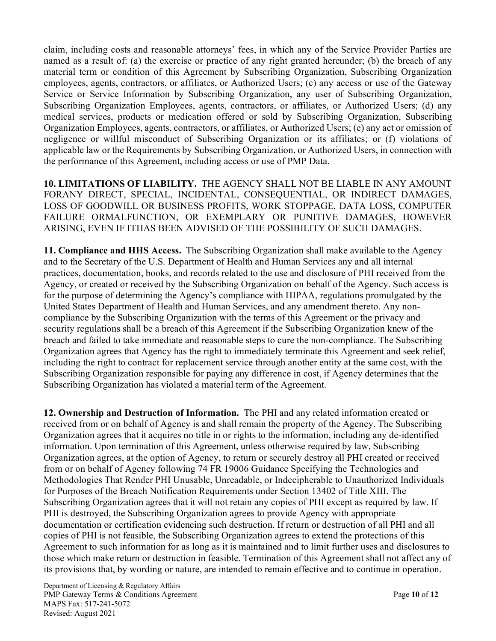claim, including costs and reasonable attorneys' fees, in which any of the Service Provider Parties are named as a result of: (a) the exercise or practice of any right granted hereunder; (b) the breach of any material term or condition of this Agreement by Subscribing Organization, Subscribing Organization employees, agents, contractors, or affiliates, or Authorized Users; (c) any access or use of the Gateway Service or Service Information by Subscribing Organization, any user of Subscribing Organization, Subscribing Organization Employees, agents, contractors, or affiliates, or Authorized Users; (d) any medical services, products or medication offered or sold by Subscribing Organization, Subscribing Organization Employees, agents, contractors, or affiliates, or Authorized Users; (e) any act or omission of negligence or willful misconduct of Subscribing Organization or its affiliates; or (f) violations of applicable law or the Requirements by Subscribing Organization, or Authorized Users, in connection with the performance of this Agreement, including access or use of PMP Data.

**10. LIMITATIONS OF LIABILITY.** THE AGENCY SHALL NOT BE LIABLE IN ANY AMOUNT FORANY DIRECT, SPECIAL, INCIDENTAL, CONSEQUENTIAL, OR INDIRECT DAMAGES, LOSS OF GOODWILL OR BUSINESS PROFITS, WORK STOPPAGE, DATA LOSS, COMPUTER FAILURE ORMALFUNCTION, OR EXEMPLARY OR PUNITIVE DAMAGES, HOWEVER ARISING, EVEN IF ITHAS BEEN ADVISED OF THE POSSIBILITY OF SUCH DAMAGES.

**11. Compliance and HHS Access.** The Subscribing Organization shall make available to the Agency and to the Secretary of the U.S. Department of Health and Human Services any and all internal practices, documentation, books, and records related to the use and disclosure of PHI received from the Agency, or created or received by the Subscribing Organization on behalf of the Agency. Such access is for the purpose of determining the Agency's compliance with HIPAA, regulations promulgated by the United States Department of Health and Human Services, and any amendment thereto. Any noncompliance by the Subscribing Organization with the terms of this Agreement or the privacy and security regulations shall be a breach of this Agreement if the Subscribing Organization knew of the breach and failed to take immediate and reasonable steps to cure the non-compliance. The Subscribing Organization agrees that Agency has the right to immediately terminate this Agreement and seek relief, including the right to contract for replacement service through another entity at the same cost, with the Subscribing Organization responsible for paying any difference in cost, if Agency determines that the Subscribing Organization has violated a material term of the Agreement.

**12. Ownership and Destruction of Information.** The PHI and any related information created or received from or on behalf of Agency is and shall remain the property of the Agency. The Subscribing Organization agrees that it acquires no title in or rights to the information, including any de-identified information. Upon termination of this Agreement, unless otherwise required by law, Subscribing Organization agrees, at the option of Agency, to return or securely destroy all PHI created or received from or on behalf of Agency following 74 FR 19006 Guidance Specifying the Technologies and Methodologies That Render PHI Unusable, Unreadable, or Indecipherable to Unauthorized Individuals for Purposes of the Breach Notification Requirements under Section 13402 of Title XIII. The Subscribing Organization agrees that it will not retain any copies of PHI except as required by law. If PHI is destroyed, the Subscribing Organization agrees to provide Agency with appropriate documentation or certification evidencing such destruction. If return or destruction of all PHI and all copies of PHI is not feasible, the Subscribing Organization agrees to extend the protections of this Agreement to such information for as long as it is maintained and to limit further uses and disclosures to those which make return or destruction in feasible. Termination of this Agreement shall not affect any of its provisions that, by wording or nature, are intended to remain effective and to continue in operation.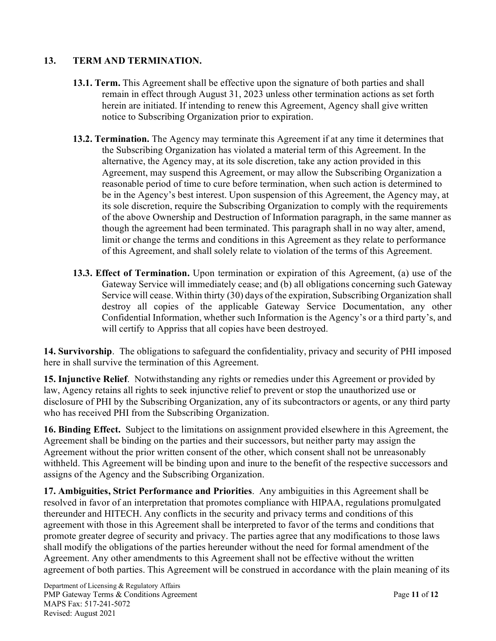# **13. TERM AND TERMINATION.**

- **13.1. Term.** This Agreement shall be effective upon the signature of both parties and shall remain in effect through August 31, 2023 unless other termination actions as set forth herein are initiated. If intending to renew this Agreement, Agency shall give written notice to Subscribing Organization prior to expiration.
- **13.2. Termination.** The Agency may terminate this Agreement if at any time it determines that the Subscribing Organization has violated a material term of this Agreement. In the alternative, the Agency may, at its sole discretion, take any action provided in this Agreement, may suspend this Agreement, or may allow the Subscribing Organization a reasonable period of time to cure before termination, when such action is determined to be in the Agency's best interest. Upon suspension of this Agreement, the Agency may, at its sole discretion, require the Subscribing Organization to comply with the requirements of the above Ownership and Destruction of Information paragraph, in the same manner as though the agreement had been terminated. This paragraph shall in no way alter, amend, limit or change the terms and conditions in this Agreement as they relate to performance of this Agreement, and shall solely relate to violation of the terms of this Agreement.
- **13.3. Effect of Termination.** Upon termination or expiration of this Agreement, (a) use of the Gateway Service will immediately cease; and (b) all obligations concerning such Gateway Service will cease. Within thirty (30) days of the expiration, Subscribing Organization shall destroy all copies of the applicable Gateway Service Documentation, any other Confidential Information, whether such Information is the Agency's or a third party's, and will certify to Appriss that all copies have been destroyed.

**14. Survivorship**. The obligations to safeguard the confidentiality, privacy and security of PHI imposed here in shall survive the termination of this Agreement.

**15. Injunctive Relief**. Notwithstanding any rights or remedies under this Agreement or provided by law, Agency retains all rights to seek injunctive relief to prevent or stop the unauthorized use or disclosure of PHI by the Subscribing Organization, any of its subcontractors or agents, or any third party who has received PHI from the Subscribing Organization.

**16. Binding Effect.** Subject to the limitations on assignment provided elsewhere in this Agreement, the Agreement shall be binding on the parties and their successors, but neither party may assign the Agreement without the prior written consent of the other, which consent shall not be unreasonably withheld. This Agreement will be binding upon and inure to the benefit of the respective successors and assigns of the Agency and the Subscribing Organization.

**17. Ambiguities, Strict Performance and Priorities**. Any ambiguities in this Agreement shall be resolved in favor of an interpretation that promotes compliance with HIPAA, regulations promulgated thereunder and HITECH. Any conflicts in the security and privacy terms and conditions of this agreement with those in this Agreement shall be interpreted to favor of the terms and conditions that promote greater degree of security and privacy. The parties agree that any modifications to those laws shall modify the obligations of the parties hereunder without the need for formal amendment of the Agreement. Any other amendments to this Agreement shall not be effective without the written agreement of both parties. This Agreement will be construed in accordance with the plain meaning of its